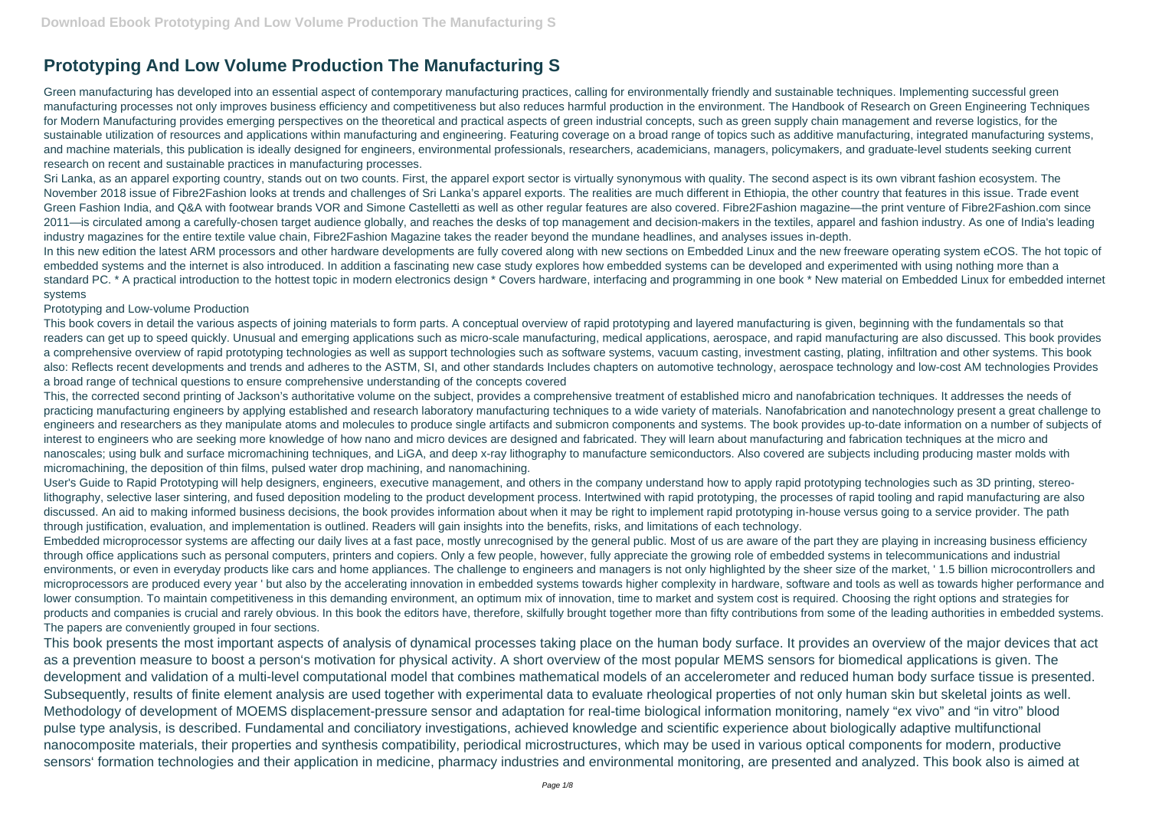## **Prototyping And Low Volume Production The Manufacturing S**

Green manufacturing has developed into an essential aspect of contemporary manufacturing practices, calling for environmentally friendly and sustainable techniques. Implementing successful green manufacturing processes not only improves business efficiency and competitiveness but also reduces harmful production in the environment. The Handbook of Research on Green Engineering Techniques for Modern Manufacturing provides emerging perspectives on the theoretical and practical aspects of green industrial concepts, such as green supply chain management and reverse logistics, for the sustainable utilization of resources and applications within manufacturing and engineering. Featuring coverage on a broad range of topics such as additive manufacturing, integrated manufacturing systems, and machine materials, this publication is ideally designed for engineers, environmental professionals, researchers, academicians, managers, policymakers, and graduate-level students seeking current research on recent and sustainable practices in manufacturing processes.

Sri Lanka, as an apparel exporting country, stands out on two counts. First, the apparel export sector is virtually synonymous with quality. The second aspect is its own vibrant fashion ecosystem. The November 2018 issue of Fibre2Fashion looks at trends and challenges of Sri Lanka's apparel exports. The realities are much different in Ethiopia, the other country that features in this issue. Trade event Green Fashion India, and Q&A with footwear brands VOR and Simone Castelletti as well as other regular features are also covered. Fibre2Fashion magazine—the print venture of Fibre2Fashion.com since 2011—is circulated among a carefully-chosen target audience globally, and reaches the desks of top management and decision-makers in the textiles, apparel and fashion industry. As one of India's leading industry magazines for the entire textile value chain, Fibre2Fashion Magazine takes the reader beyond the mundane headlines, and analyses issues in-depth.

In this new edition the latest ARM processors and other hardware developments are fully covered along with new sections on Embedded Linux and the new freeware operating system eCOS. The hot topic of embedded systems and the internet is also introduced. In addition a fascinating new case study explores how embedded systems can be developed and experimented with using nothing more than a standard PC. \* A practical introduction to the hottest topic in modern electronics design \* Covers hardware, interfacing and programming in one book \* New material on Embedded Linux for embedded internet systems

## Prototyping and Low-volume Production

This book covers in detail the various aspects of joining materials to form parts. A conceptual overview of rapid prototyping and layered manufacturing is given, beginning with the fundamentals so that readers can get up to speed quickly. Unusual and emerging applications such as micro-scale manufacturing, medical applications, aerospace, and rapid manufacturing are also discussed. This book provides a comprehensive overview of rapid prototyping technologies as well as support technologies such as software systems, vacuum casting, investment casting, plating, infiltration and other systems. This book also: Reflects recent developments and trends and adheres to the ASTM, SI, and other standards Includes chapters on automotive technology, aerospace technology and low-cost AM technologies Provides a broad range of technical questions to ensure comprehensive understanding of the concepts covered

This, the corrected second printing of Jackson's authoritative volume on the subject, provides a comprehensive treatment of established micro and nanofabrication techniques. It addresses the needs of practicing manufacturing engineers by applying established and research laboratory manufacturing techniques to a wide variety of materials. Nanofabrication and nanotechnology present a great challenge to engineers and researchers as they manipulate atoms and molecules to produce single artifacts and submicron components and systems. The book provides up-to-date information on a number of subjects of interest to engineers who are seeking more knowledge of how nano and micro devices are designed and fabricated. They will learn about manufacturing and fabrication techniques at the micro and nanoscales; using bulk and surface micromachining techniques, and LiGA, and deep x-ray lithography to manufacture semiconductors. Also covered are subjects including producing master molds with micromachining, the deposition of thin films, pulsed water drop machining, and nanomachining.

User's Guide to Rapid Prototyping will help designers, engineers, executive management, and others in the company understand how to apply rapid prototyping technologies such as 3D printing, stereolithography, selective laser sintering, and fused deposition modeling to the product development process. Intertwined with rapid prototyping, the processes of rapid tooling and rapid manufacturing are also discussed. An aid to making informed business decisions, the book provides information about when it may be right to implement rapid prototyping in-house versus going to a service provider. The path through justification, evaluation, and implementation is outlined. Readers will gain insights into the benefits, risks, and limitations of each technology.

Embedded microprocessor systems are affecting our daily lives at a fast pace, mostly unrecognised by the general public. Most of us are aware of the part they are playing in increasing business efficiency through office applications such as personal computers, printers and copiers. Only a few people, however, fully appreciate the growing role of embedded systems in telecommunications and industrial environments, or even in everyday products like cars and home appliances. The challenge to engineers and managers is not only highlighted by the sheer size of the market, ' 1.5 billion microcontrollers and microprocessors are produced every year ' but also by the accelerating innovation in embedded systems towards higher complexity in hardware, software and tools as well as towards higher performance and lower consumption. To maintain competitiveness in this demanding environment, an optimum mix of innovation, time to market and system cost is required. Choosing the right options and strategies for products and companies is crucial and rarely obvious. In this book the editors have, therefore, skilfully brought together more than fifty contributions from some of the leading authorities in embedded systems. The papers are conveniently grouped in four sections.

This book presents the most important aspects of analysis of dynamical processes taking place on the human body surface. It provides an overview of the major devices that act as a prevention measure to boost a person's motivation for physical activity. A short overview of the most popular MEMS sensors for biomedical applications is given. The development and validation of a multi-level computational model that combines mathematical models of an accelerometer and reduced human body surface tissue is presented. Subsequently, results of finite element analysis are used together with experimental data to evaluate rheological properties of not only human skin but skeletal joints as well. Methodology of development of MOEMS displacement-pressure sensor and adaptation for real-time biological information monitoring, namely "ex vivo" and "in vitro" blood pulse type analysis, is described. Fundamental and conciliatory investigations, achieved knowledge and scientific experience about biologically adaptive multifunctional nanocomposite materials, their properties and synthesis compatibility, periodical microstructures, which may be used in various optical components for modern, productive sensors' formation technologies and their application in medicine, pharmacy industries and environmental monitoring, are presented and analyzed. This book also is aimed at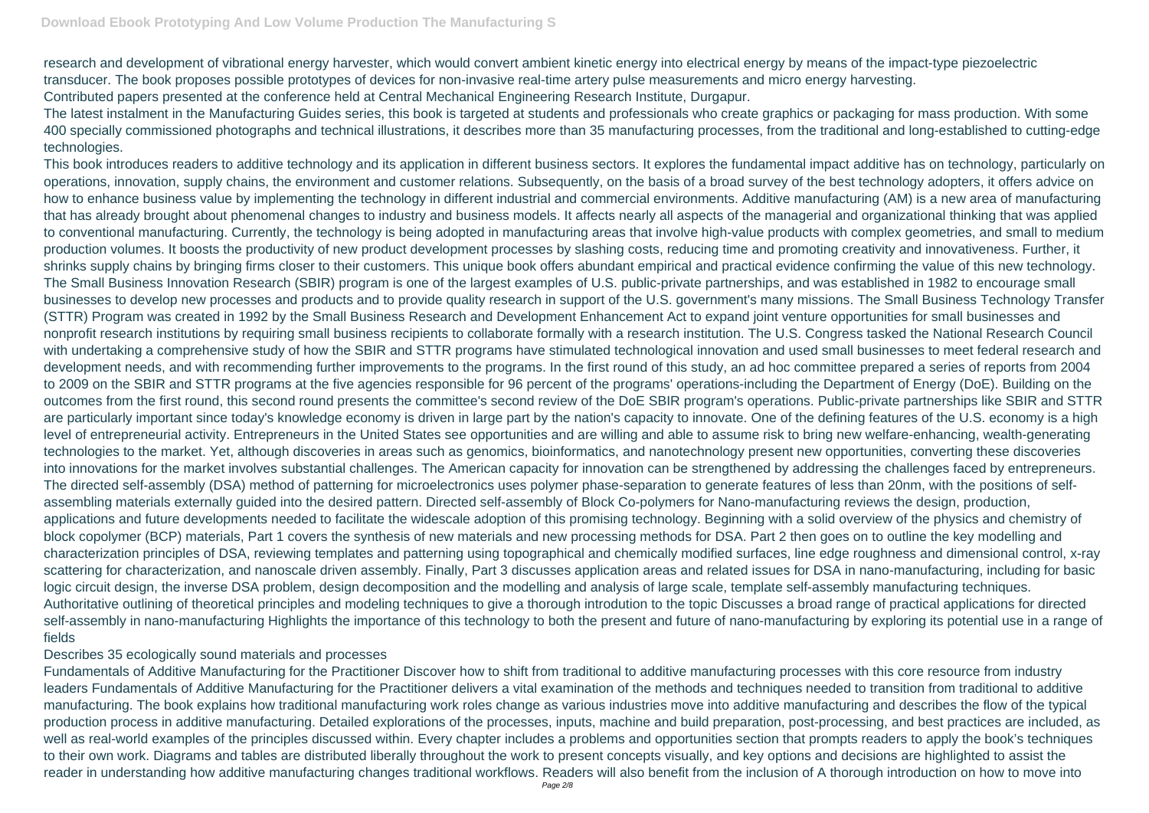research and development of vibrational energy harvester, which would convert ambient kinetic energy into electrical energy by means of the impact-type piezoelectric transducer. The book proposes possible prototypes of devices for non-invasive real-time artery pulse measurements and micro energy harvesting. Contributed papers presented at the conference held at Central Mechanical Engineering Research Institute, Durgapur.

The latest instalment in the Manufacturing Guides series, this book is targeted at students and professionals who create graphics or packaging for mass production. With some 400 specially commissioned photographs and technical illustrations, it describes more than 35 manufacturing processes, from the traditional and long-established to cutting-edge technologies.

This book introduces readers to additive technology and its application in different business sectors. It explores the fundamental impact additive has on technology, particularly on operations, innovation, supply chains, the environment and customer relations. Subsequently, on the basis of a broad survey of the best technology adopters, it offers advice on how to enhance business value by implementing the technology in different industrial and commercial environments. Additive manufacturing (AM) is a new area of manufacturing that has already brought about phenomenal changes to industry and business models. It affects nearly all aspects of the managerial and organizational thinking that was applied to conventional manufacturing. Currently, the technology is being adopted in manufacturing areas that involve high-value products with complex geometries, and small to medium production volumes. It boosts the productivity of new product development processes by slashing costs, reducing time and promoting creativity and innovativeness. Further, it shrinks supply chains by bringing firms closer to their customers. This unique book offers abundant empirical and practical evidence confirming the value of this new technology. The Small Business Innovation Research (SBIR) program is one of the largest examples of U.S. public-private partnerships, and was established in 1982 to encourage small businesses to develop new processes and products and to provide quality research in support of the U.S. government's many missions. The Small Business Technology Transfer (STTR) Program was created in 1992 by the Small Business Research and Development Enhancement Act to expand joint venture opportunities for small businesses and nonprofit research institutions by requiring small business recipients to collaborate formally with a research institution. The U.S. Congress tasked the National Research Council with undertaking a comprehensive study of how the SBIR and STTR programs have stimulated technological innovation and used small businesses to meet federal research and development needs, and with recommending further improvements to the programs. In the first round of this study, an ad hoc committee prepared a series of reports from 2004 to 2009 on the SBIR and STTR programs at the five agencies responsible for 96 percent of the programs' operations-including the Department of Energy (DoE). Building on the outcomes from the first round, this second round presents the committee's second review of the DoE SBIR program's operations. Public-private partnerships like SBIR and STTR are particularly important since today's knowledge economy is driven in large part by the nation's capacity to innovate. One of the defining features of the U.S. economy is a high level of entrepreneurial activity. Entrepreneurs in the United States see opportunities and are willing and able to assume risk to bring new welfare-enhancing, wealth-generating technologies to the market. Yet, although discoveries in areas such as genomics, bioinformatics, and nanotechnology present new opportunities, converting these discoveries into innovations for the market involves substantial challenges. The American capacity for innovation can be strengthened by addressing the challenges faced by entrepreneurs. The directed self-assembly (DSA) method of patterning for microelectronics uses polymer phase-separation to generate features of less than 20nm, with the positions of selfassembling materials externally guided into the desired pattern. Directed self-assembly of Block Co-polymers for Nano-manufacturing reviews the design, production, applications and future developments needed to facilitate the widescale adoption of this promising technology. Beginning with a solid overview of the physics and chemistry of block copolymer (BCP) materials, Part 1 covers the synthesis of new materials and new processing methods for DSA. Part 2 then goes on to outline the key modelling and characterization principles of DSA, reviewing templates and patterning using topographical and chemically modified surfaces, line edge roughness and dimensional control, x-ray scattering for characterization, and nanoscale driven assembly. Finally, Part 3 discusses application areas and related issues for DSA in nano-manufacturing, including for basic logic circuit design, the inverse DSA problem, design decomposition and the modelling and analysis of large scale, template self-assembly manufacturing techniques. Authoritative outlining of theoretical principles and modeling techniques to give a thorough introdution to the topic Discusses a broad range of practical applications for directed self-assembly in nano-manufacturing Highlights the importance of this technology to both the present and future of nano-manufacturing by exploring its potential use in a range of fields

## Describes 35 ecologically sound materials and processes

Fundamentals of Additive Manufacturing for the Practitioner Discover how to shift from traditional to additive manufacturing processes with this core resource from industry leaders Fundamentals of Additive Manufacturing for the Practitioner delivers a vital examination of the methods and techniques needed to transition from traditional to additive manufacturing. The book explains how traditional manufacturing work roles change as various industries move into additive manufacturing and describes the flow of the typical production process in additive manufacturing. Detailed explorations of the processes, inputs, machine and build preparation, post-processing, and best practices are included, as well as real-world examples of the principles discussed within. Every chapter includes a problems and opportunities section that prompts readers to apply the book's techniques to their own work. Diagrams and tables are distributed liberally throughout the work to present concepts visually, and key options and decisions are highlighted to assist the reader in understanding how additive manufacturing changes traditional workflows. Readers will also benefit from the inclusion of A thorough introduction on how to move into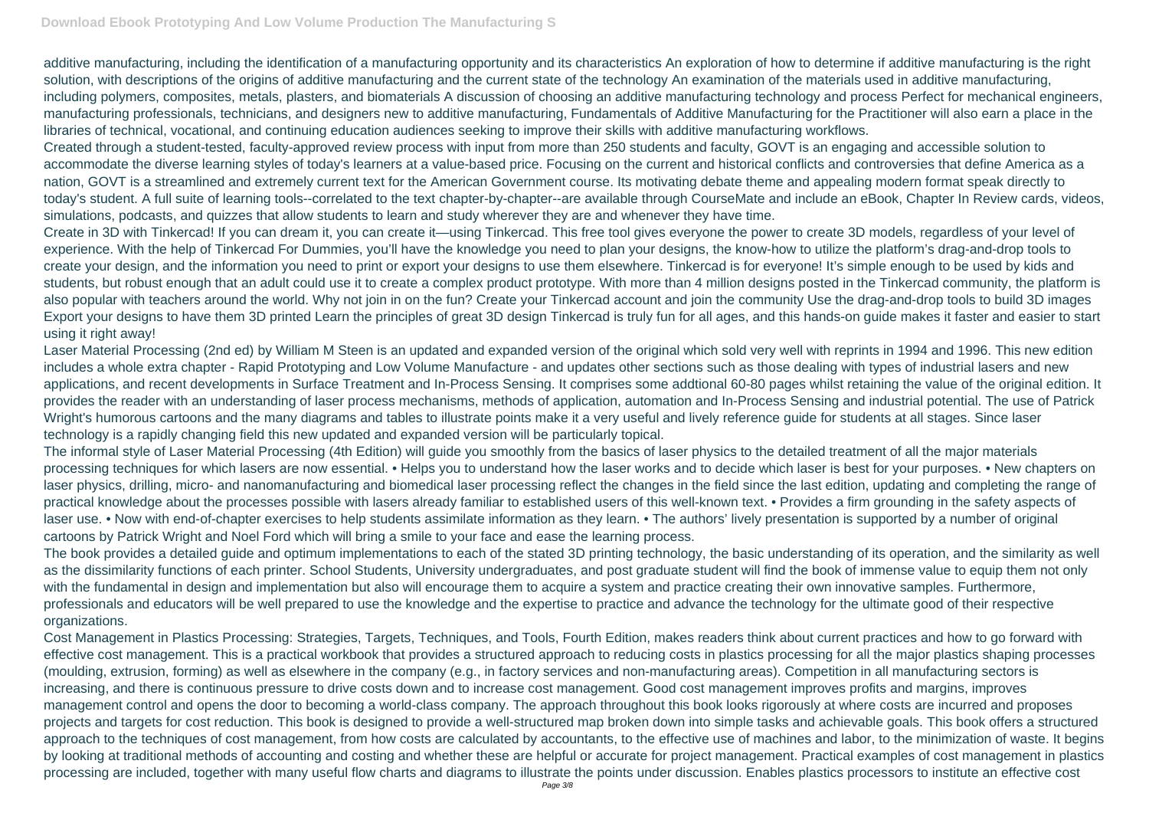Create in 3D with Tinkercad! If you can dream it, you can create it—using Tinkercad. This free tool gives everyone the power to create 3D models, regardless of your level of experience. With the help of Tinkercad For Dummies, you'll have the knowledge you need to plan your designs, the know-how to utilize the platform's drag-and-drop tools to create your design, and the information you need to print or export your designs to use them elsewhere. Tinkercad is for everyone! It's simple enough to be used by kids and students, but robust enough that an adult could use it to create a complex product prototype. With more than 4 million designs posted in the Tinkercad community, the platform is also popular with teachers around the world. Why not join in on the fun? Create your Tinkercad account and join the community Use the drag-and-drop tools to build 3D images Export your designs to have them 3D printed Learn the principles of great 3D design Tinkercad is truly fun for all ages, and this hands-on guide makes it faster and easier to start using it right away!

additive manufacturing, including the identification of a manufacturing opportunity and its characteristics An exploration of how to determine if additive manufacturing is the right solution, with descriptions of the origins of additive manufacturing and the current state of the technology An examination of the materials used in additive manufacturing, including polymers, composites, metals, plasters, and biomaterials A discussion of choosing an additive manufacturing technology and process Perfect for mechanical engineers, manufacturing professionals, technicians, and designers new to additive manufacturing, Fundamentals of Additive Manufacturing for the Practitioner will also earn a place in the libraries of technical, vocational, and continuing education audiences seeking to improve their skills with additive manufacturing workflows. Created through a student-tested, faculty-approved review process with input from more than 250 students and faculty, GOVT is an engaging and accessible solution to accommodate the diverse learning styles of today's learners at a value-based price. Focusing on the current and historical conflicts and controversies that define America as a nation, GOVT is a streamlined and extremely current text for the American Government course. Its motivating debate theme and appealing modern format speak directly to today's student. A full suite of learning tools--correlated to the text chapter-by-chapter--are available through CourseMate and include an eBook, Chapter In Review cards, videos, simulations, podcasts, and quizzes that allow students to learn and study wherever they are and whenever they have time.

Laser Material Processing (2nd ed) by William M Steen is an updated and expanded version of the original which sold very well with reprints in 1994 and 1996. This new edition includes a whole extra chapter - Rapid Prototyping and Low Volume Manufacture - and updates other sections such as those dealing with types of industrial lasers and new applications, and recent developments in Surface Treatment and In-Process Sensing. It comprises some addtional 60-80 pages whilst retaining the value of the original edition. It provides the reader with an understanding of laser process mechanisms, methods of application, automation and In-Process Sensing and industrial potential. The use of Patrick Wright's humorous cartoons and the many diagrams and tables to illustrate points make it a very useful and lively reference guide for students at all stages. Since laser technology is a rapidly changing field this new updated and expanded version will be particularly topical.

The informal style of Laser Material Processing (4th Edition) will guide you smoothly from the basics of laser physics to the detailed treatment of all the major materials processing techniques for which lasers are now essential. • Helps you to understand how the laser works and to decide which laser is best for your purposes. • New chapters on laser physics, drilling, micro- and nanomanufacturing and biomedical laser processing reflect the changes in the field since the last edition, updating and completing the range of practical knowledge about the processes possible with lasers already familiar to established users of this well-known text. • Provides a firm grounding in the safety aspects of laser use. • Now with end-of-chapter exercises to help students assimilate information as they learn. • The authors' lively presentation is supported by a number of original cartoons by Patrick Wright and Noel Ford which will bring a smile to your face and ease the learning process.

The book provides a detailed guide and optimum implementations to each of the stated 3D printing technology, the basic understanding of its operation, and the similarity as well as the dissimilarity functions of each printer. School Students, University undergraduates, and post graduate student will find the book of immense value to equip them not only with the fundamental in design and implementation but also will encourage them to acquire a system and practice creating their own innovative samples. Furthermore, professionals and educators will be well prepared to use the knowledge and the expertise to practice and advance the technology for the ultimate good of their respective organizations.

Cost Management in Plastics Processing: Strategies, Targets, Techniques, and Tools, Fourth Edition, makes readers think about current practices and how to go forward with effective cost management. This is a practical workbook that provides a structured approach to reducing costs in plastics processing for all the major plastics shaping processes (moulding, extrusion, forming) as well as elsewhere in the company (e.g., in factory services and non-manufacturing areas). Competition in all manufacturing sectors is increasing, and there is continuous pressure to drive costs down and to increase cost management. Good cost management improves profits and margins, improves management control and opens the door to becoming a world-class company. The approach throughout this book looks rigorously at where costs are incurred and proposes projects and targets for cost reduction. This book is designed to provide a well-structured map broken down into simple tasks and achievable goals. This book offers a structured approach to the techniques of cost management, from how costs are calculated by accountants, to the effective use of machines and labor, to the minimization of waste. It begins by looking at traditional methods of accounting and costing and whether these are helpful or accurate for project management. Practical examples of cost management in plastics processing are included, together with many useful flow charts and diagrams to illustrate the points under discussion. Enables plastics processors to institute an effective cost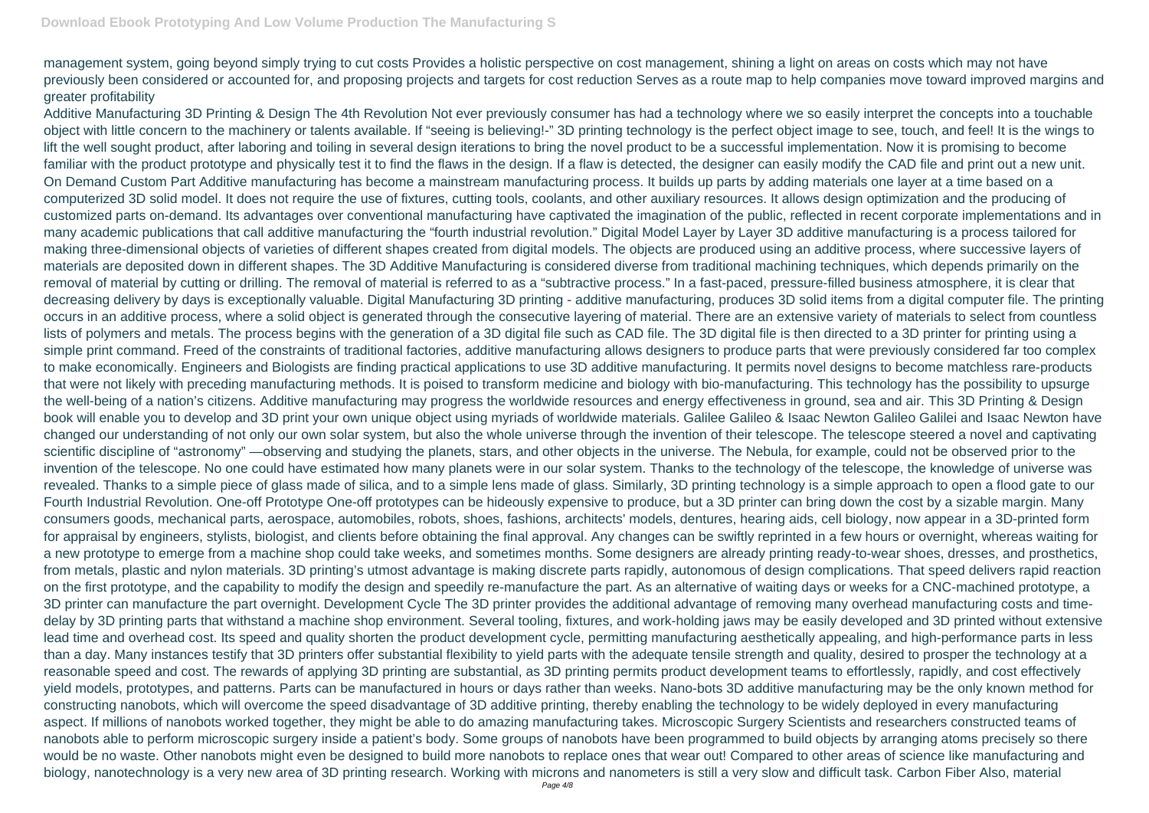management system, going beyond simply trying to cut costs Provides a holistic perspective on cost management, shining a light on areas on costs which may not have previously been considered or accounted for, and proposing projects and targets for cost reduction Serves as a route map to help companies move toward improved margins and greater profitability

Additive Manufacturing 3D Printing & Design The 4th Revolution Not ever previously consumer has had a technology where we so easily interpret the concepts into a touchable object with little concern to the machinery or talents available. If "seeing is believing!-" 3D printing technology is the perfect object image to see, touch, and feel! It is the wings to lift the well sought product, after laboring and toiling in several design iterations to bring the novel product to be a successful implementation. Now it is promising to become familiar with the product prototype and physically test it to find the flaws in the design. If a flaw is detected, the designer can easily modify the CAD file and print out a new unit. On Demand Custom Part Additive manufacturing has become a mainstream manufacturing process. It builds up parts by adding materials one layer at a time based on a computerized 3D solid model. It does not require the use of fixtures, cutting tools, coolants, and other auxiliary resources. It allows design optimization and the producing of customized parts on-demand. Its advantages over conventional manufacturing have captivated the imagination of the public, reflected in recent corporate implementations and in many academic publications that call additive manufacturing the "fourth industrial revolution." Digital Model Layer by Layer 3D additive manufacturing is a process tailored for making three-dimensional objects of varieties of different shapes created from digital models. The objects are produced using an additive process, where successive layers of materials are deposited down in different shapes. The 3D Additive Manufacturing is considered diverse from traditional machining techniques, which depends primarily on the removal of material by cutting or drilling. The removal of material is referred to as a "subtractive process." In a fast-paced, pressure-filled business atmosphere, it is clear that decreasing delivery by days is exceptionally valuable. Digital Manufacturing 3D printing - additive manufacturing, produces 3D solid items from a digital computer file. The printing occurs in an additive process, where a solid object is generated through the consecutive layering of material. There are an extensive variety of materials to select from countless lists of polymers and metals. The process begins with the generation of a 3D digital file such as CAD file. The 3D digital file is then directed to a 3D printer for printing using a simple print command. Freed of the constraints of traditional factories, additive manufacturing allows designers to produce parts that were previously considered far too complex to make economically. Engineers and Biologists are finding practical applications to use 3D additive manufacturing. It permits novel designs to become matchless rare-products that were not likely with preceding manufacturing methods. It is poised to transform medicine and biology with bio-manufacturing. This technology has the possibility to upsurge the well-being of a nation's citizens. Additive manufacturing may progress the worldwide resources and energy effectiveness in ground, sea and air. This 3D Printing & Design book will enable you to develop and 3D print your own unique object using myriads of worldwide materials. Galilee Galileo & Isaac Newton Galileo Galilei and Isaac Newton have changed our understanding of not only our own solar system, but also the whole universe through the invention of their telescope. The telescope steered a novel and captivating scientific discipline of "astronomy" —observing and studying the planets, stars, and other objects in the universe. The Nebula, for example, could not be observed prior to the invention of the telescope. No one could have estimated how many planets were in our solar system. Thanks to the technology of the telescope, the knowledge of universe was revealed. Thanks to a simple piece of glass made of silica, and to a simple lens made of glass. Similarly, 3D printing technology is a simple approach to open a flood gate to our Fourth Industrial Revolution. One-off Prototype One-off prototypes can be hideously expensive to produce, but a 3D printer can bring down the cost by a sizable margin. Many consumers goods, mechanical parts, aerospace, automobiles, robots, shoes, fashions, architects' models, dentures, hearing aids, cell biology, now appear in a 3D-printed form for appraisal by engineers, stylists, biologist, and clients before obtaining the final approval. Any changes can be swiftly reprinted in a few hours or overnight, whereas waiting for a new prototype to emerge from a machine shop could take weeks, and sometimes months. Some designers are already printing ready-to-wear shoes, dresses, and prosthetics, from metals, plastic and nylon materials. 3D printing's utmost advantage is making discrete parts rapidly, autonomous of design complications. That speed delivers rapid reaction on the first prototype, and the capability to modify the design and speedily re-manufacture the part. As an alternative of waiting days or weeks for a CNC-machined prototype, a 3D printer can manufacture the part overnight. Development Cycle The 3D printer provides the additional advantage of removing many overhead manufacturing costs and timedelay by 3D printing parts that withstand a machine shop environment. Several tooling, fixtures, and work-holding jaws may be easily developed and 3D printed without extensive lead time and overhead cost. Its speed and quality shorten the product development cycle, permitting manufacturing aesthetically appealing, and high-performance parts in less than a day. Many instances testify that 3D printers offer substantial flexibility to yield parts with the adequate tensile strength and quality, desired to prosper the technology at a reasonable speed and cost. The rewards of applying 3D printing are substantial, as 3D printing permits product development teams to effortlessly, rapidly, and cost effectively yield models, prototypes, and patterns. Parts can be manufactured in hours or days rather than weeks. Nano-bots 3D additive manufacturing may be the only known method for constructing nanobots, which will overcome the speed disadvantage of 3D additive printing, thereby enabling the technology to be widely deployed in every manufacturing aspect. If millions of nanobots worked together, they might be able to do amazing manufacturing takes. Microscopic Surgery Scientists and researchers constructed teams of nanobots able to perform microscopic surgery inside a patient's body. Some groups of nanobots have been programmed to build objects by arranging atoms precisely so there would be no waste. Other nanobots might even be designed to build more nanobots to replace ones that wear out! Compared to other areas of science like manufacturing and biology, nanotechnology is a very new area of 3D printing research. Working with microns and nanometers is still a very slow and difficult task. Carbon Fiber Also, material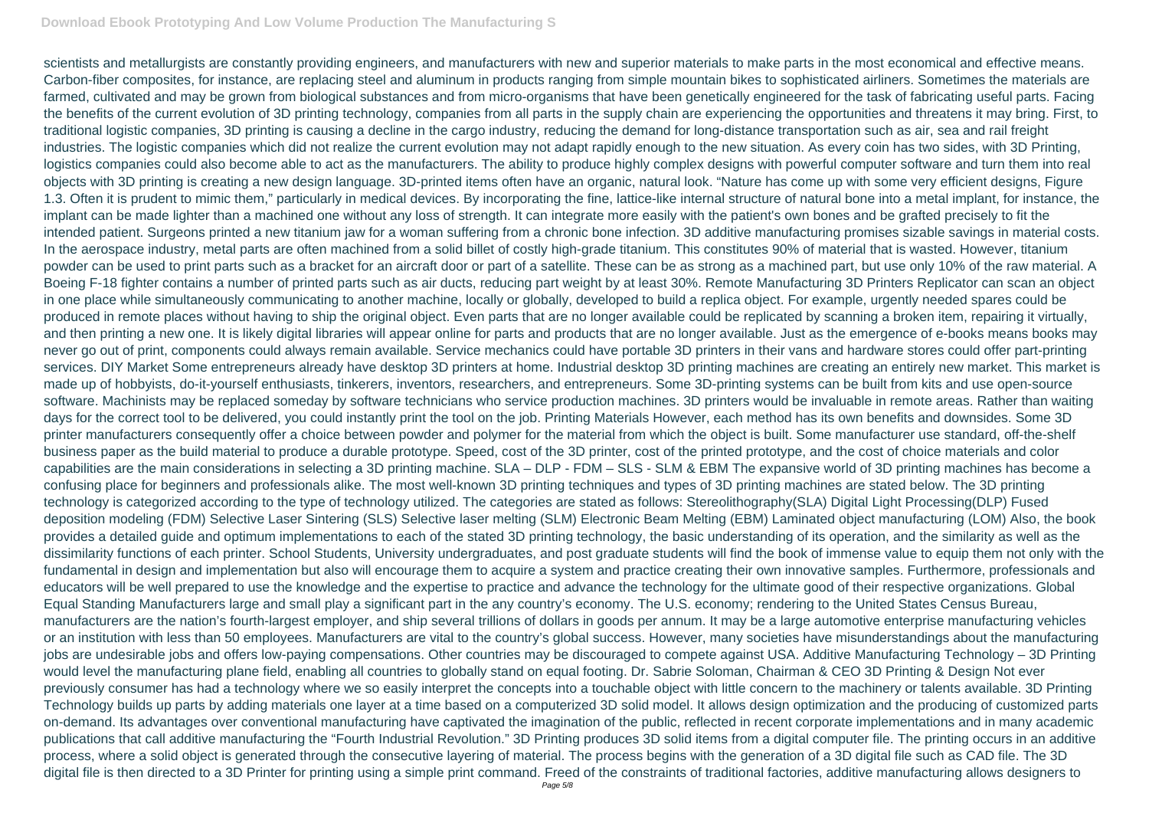scientists and metallurgists are constantly providing engineers, and manufacturers with new and superior materials to make parts in the most economical and effective means. Carbon-fiber composites, for instance, are replacing steel and aluminum in products ranging from simple mountain bikes to sophisticated airliners. Sometimes the materials are farmed, cultivated and may be grown from biological substances and from micro-organisms that have been genetically engineered for the task of fabricating useful parts. Facing the benefits of the current evolution of 3D printing technology, companies from all parts in the supply chain are experiencing the opportunities and threatens it may bring. First, to traditional logistic companies, 3D printing is causing a decline in the cargo industry, reducing the demand for long-distance transportation such as air, sea and rail freight industries. The logistic companies which did not realize the current evolution may not adapt rapidly enough to the new situation. As every coin has two sides, with 3D Printing, logistics companies could also become able to act as the manufacturers. The ability to produce highly complex designs with powerful computer software and turn them into real objects with 3D printing is creating a new design language. 3D-printed items often have an organic, natural look. "Nature has come up with some very efficient designs, Figure 1.3. Often it is prudent to mimic them," particularly in medical devices. By incorporating the fine, lattice-like internal structure of natural bone into a metal implant, for instance, the implant can be made lighter than a machined one without any loss of strength. It can integrate more easily with the patient's own bones and be grafted precisely to fit the intended patient. Surgeons printed a new titanium jaw for a woman suffering from a chronic bone infection. 3D additive manufacturing promises sizable savings in material costs. In the aerospace industry, metal parts are often machined from a solid billet of costly high-grade titanium. This constitutes 90% of material that is wasted. However, titanium powder can be used to print parts such as a bracket for an aircraft door or part of a satellite. These can be as strong as a machined part, but use only 10% of the raw material. A Boeing F-18 fighter contains a number of printed parts such as air ducts, reducing part weight by at least 30%. Remote Manufacturing 3D Printers Replicator can scan an object in one place while simultaneously communicating to another machine, locally or globally, developed to build a replica object. For example, urgently needed spares could be produced in remote places without having to ship the original object. Even parts that are no longer available could be replicated by scanning a broken item, repairing it virtually, and then printing a new one. It is likely digital libraries will appear online for parts and products that are no longer available. Just as the emergence of e-books means books may never go out of print, components could always remain available. Service mechanics could have portable 3D printers in their vans and hardware stores could offer part-printing services. DIY Market Some entrepreneurs already have desktop 3D printers at home. Industrial desktop 3D printing machines are creating an entirely new market. This market is made up of hobbyists, do-it-yourself enthusiasts, tinkerers, inventors, researchers, and entrepreneurs. Some 3D-printing systems can be built from kits and use open-source software. Machinists may be replaced someday by software technicians who service production machines. 3D printers would be invaluable in remote areas. Rather than waiting days for the correct tool to be delivered, you could instantly print the tool on the job. Printing Materials However, each method has its own benefits and downsides. Some 3D printer manufacturers consequently offer a choice between powder and polymer for the material from which the object is built. Some manufacturer use standard, off-the-shelf business paper as the build material to produce a durable prototype. Speed, cost of the 3D printer, cost of the printed prototype, and the cost of choice materials and color capabilities are the main considerations in selecting a 3D printing machine. SLA – DLP - FDM – SLS - SLM & EBM The expansive world of 3D printing machines has become a confusing place for beginners and professionals alike. The most well-known 3D printing techniques and types of 3D printing machines are stated below. The 3D printing technology is categorized according to the type of technology utilized. The categories are stated as follows: Stereolithography(SLA) Digital Light Processing(DLP) Fused deposition modeling (FDM) Selective Laser Sintering (SLS) Selective laser melting (SLM) Electronic Beam Melting (EBM) Laminated object manufacturing (LOM) Also, the book provides a detailed guide and optimum implementations to each of the stated 3D printing technology, the basic understanding of its operation, and the similarity as well as the dissimilarity functions of each printer. School Students, University undergraduates, and post graduate students will find the book of immense value to equip them not only with the fundamental in design and implementation but also will encourage them to acquire a system and practice creating their own innovative samples. Furthermore, professionals and educators will be well prepared to use the knowledge and the expertise to practice and advance the technology for the ultimate good of their respective organizations. Global Equal Standing Manufacturers large and small play a significant part in the any country's economy. The U.S. economy; rendering to the United States Census Bureau, manufacturers are the nation's fourth-largest employer, and ship several trillions of dollars in goods per annum. It may be a large automotive enterprise manufacturing vehicles or an institution with less than 50 employees. Manufacturers are vital to the country's global success. However, many societies have misunderstandings about the manufacturing jobs are undesirable jobs and offers low-paying compensations. Other countries may be discouraged to compete against USA. Additive Manufacturing Technology – 3D Printing would level the manufacturing plane field, enabling all countries to globally stand on equal footing. Dr. Sabrie Soloman, Chairman & CEO 3D Printing & Design Not ever previously consumer has had a technology where we so easily interpret the concepts into a touchable object with little concern to the machinery or talents available. 3D Printing Technology builds up parts by adding materials one layer at a time based on a computerized 3D solid model. It allows design optimization and the producing of customized parts on-demand. Its advantages over conventional manufacturing have captivated the imagination of the public, reflected in recent corporate implementations and in many academic publications that call additive manufacturing the "Fourth Industrial Revolution." 3D Printing produces 3D solid items from a digital computer file. The printing occurs in an additive process, where a solid object is generated through the consecutive layering of material. The process begins with the generation of a 3D digital file such as CAD file. The 3D digital file is then directed to a 3D Printer for printing using a simple print command. Freed of the constraints of traditional factories, additive manufacturing allows designers to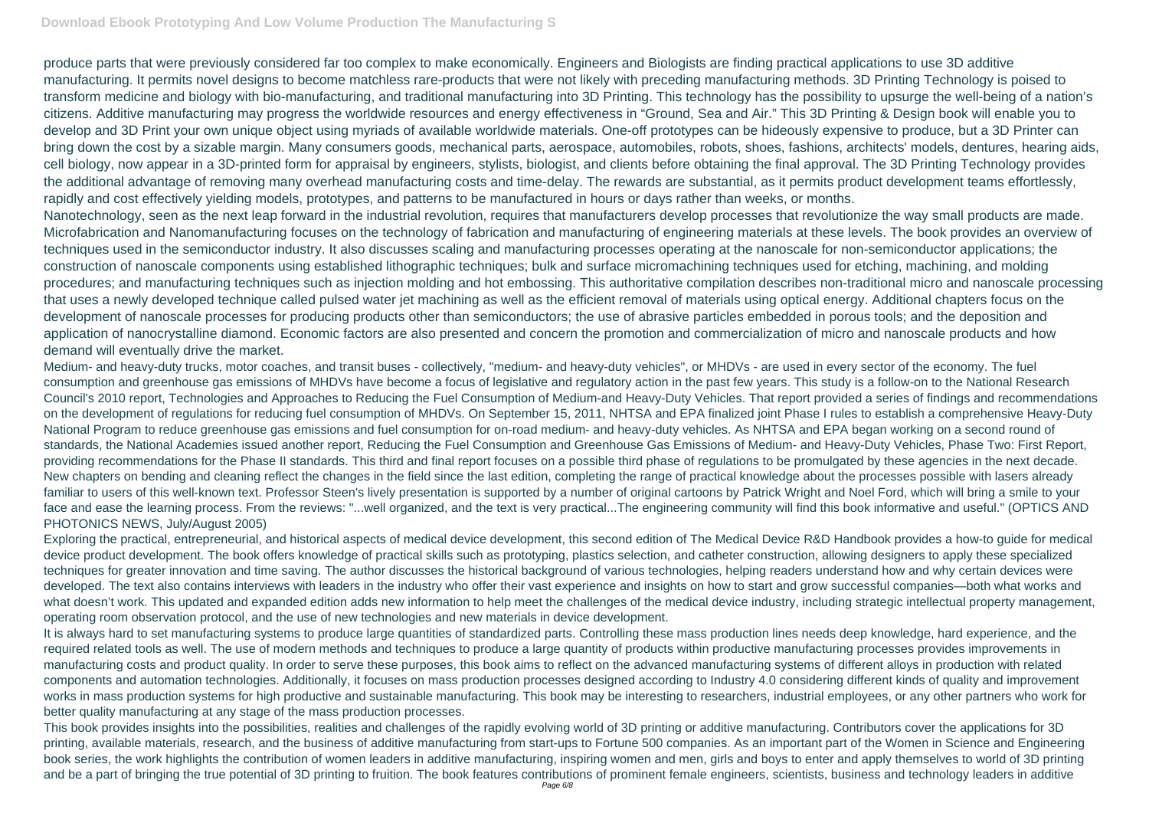produce parts that were previously considered far too complex to make economically. Engineers and Biologists are finding practical applications to use 3D additive manufacturing. It permits novel designs to become matchless rare-products that were not likely with preceding manufacturing methods. 3D Printing Technology is poised to transform medicine and biology with bio-manufacturing, and traditional manufacturing into 3D Printing. This technology has the possibility to upsurge the well-being of a nation's citizens. Additive manufacturing may progress the worldwide resources and energy effectiveness in "Ground, Sea and Air." This 3D Printing & Design book will enable you to develop and 3D Print your own unique object using myriads of available worldwide materials. One-off prototypes can be hideously expensive to produce, but a 3D Printer can bring down the cost by a sizable margin. Many consumers goods, mechanical parts, aerospace, automobiles, robots, shoes, fashions, architects' models, dentures, hearing aids, cell biology, now appear in a 3D-printed form for appraisal by engineers, stylists, biologist, and clients before obtaining the final approval. The 3D Printing Technology provides the additional advantage of removing many overhead manufacturing costs and time-delay. The rewards are substantial, as it permits product development teams effortlessly, rapidly and cost effectively yielding models, prototypes, and patterns to be manufactured in hours or days rather than weeks, or months. Nanotechnology, seen as the next leap forward in the industrial revolution, requires that manufacturers develop processes that revolutionize the way small products are made. Microfabrication and Nanomanufacturing focuses on the technology of fabrication and manufacturing of engineering materials at these levels. The book provides an overview of techniques used in the semiconductor industry. It also discusses scaling and manufacturing processes operating at the nanoscale for non-semiconductor applications; the construction of nanoscale components using established lithographic techniques; bulk and surface micromachining techniques used for etching, machining, and molding procedures; and manufacturing techniques such as injection molding and hot embossing. This authoritative compilation describes non-traditional micro and nanoscale processing that uses a newly developed technique called pulsed water jet machining as well as the efficient removal of materials using optical energy. Additional chapters focus on the development of nanoscale processes for producing products other than semiconductors; the use of abrasive particles embedded in porous tools; and the deposition and application of nanocrystalline diamond. Economic factors are also presented and concern the promotion and commercialization of micro and nanoscale products and how demand will eventually drive the market.

Medium- and heavy-duty trucks, motor coaches, and transit buses - collectively, "medium- and heavy-duty vehicles", or MHDVs - are used in every sector of the economy. The fuel consumption and greenhouse gas emissions of MHDVs have become a focus of legislative and regulatory action in the past few years. This study is a follow-on to the National Research Council's 2010 report, Technologies and Approaches to Reducing the Fuel Consumption of Medium-and Heavy-Duty Vehicles. That report provided a series of findings and recommendations on the development of regulations for reducing fuel consumption of MHDVs. On September 15, 2011, NHTSA and EPA finalized joint Phase I rules to establish a comprehensive Heavy-Duty National Program to reduce greenhouse gas emissions and fuel consumption for on-road medium- and heavy-duty vehicles. As NHTSA and EPA began working on a second round of standards, the National Academies issued another report, Reducing the Fuel Consumption and Greenhouse Gas Emissions of Medium- and Heavy-Duty Vehicles, Phase Two: First Report, providing recommendations for the Phase II standards. This third and final report focuses on a possible third phase of regulations to be promulgated by these agencies in the next decade. New chapters on bending and cleaning reflect the changes in the field since the last edition, completing the range of practical knowledge about the processes possible with lasers already familiar to users of this well-known text. Professor Steen's lively presentation is supported by a number of original cartoons by Patrick Wright and Noel Ford, which will bring a smile to your face and ease the learning process. From the reviews: "...well organized, and the text is very practical...The engineering community will find this book informative and useful." (OPTICS AND PHOTONICS NEWS, July/August 2005)

Exploring the practical, entrepreneurial, and historical aspects of medical device development, this second edition of The Medical Device R&D Handbook provides a how-to guide for medical device product development. The book offers knowledge of practical skills such as prototyping, plastics selection, and catheter construction, allowing designers to apply these specialized techniques for greater innovation and time saving. The author discusses the historical background of various technologies, helping readers understand how and why certain devices were developed. The text also contains interviews with leaders in the industry who offer their vast experience and insights on how to start and grow successful companies—both what works and what doesn't work. This updated and expanded edition adds new information to help meet the challenges of the medical device industry, including strategic intellectual property management, operating room observation protocol, and the use of new technologies and new materials in device development.

It is always hard to set manufacturing systems to produce large quantities of standardized parts. Controlling these mass production lines needs deep knowledge, hard experience, and the required related tools as well. The use of modern methods and techniques to produce a large quantity of products within productive manufacturing processes provides improvements in manufacturing costs and product quality. In order to serve these purposes, this book aims to reflect on the advanced manufacturing systems of different alloys in production with related components and automation technologies. Additionally, it focuses on mass production processes designed according to Industry 4.0 considering different kinds of quality and improvement works in mass production systems for high productive and sustainable manufacturing. This book may be interesting to researchers, industrial employees, or any other partners who work for better quality manufacturing at any stage of the mass production processes.

This book provides insights into the possibilities, realities and challenges of the rapidly evolving world of 3D printing or additive manufacturing. Contributors cover the applications for 3D printing, available materials, research, and the business of additive manufacturing from start-ups to Fortune 500 companies. As an important part of the Women in Science and Engineering book series, the work highlights the contribution of women leaders in additive manufacturing, inspiring women and men, girls and boys to enter and apply themselves to world of 3D printing and be a part of bringing the true potential of 3D printing to fruition. The book features contributions of prominent female engineers, scientists, business and technology leaders in additive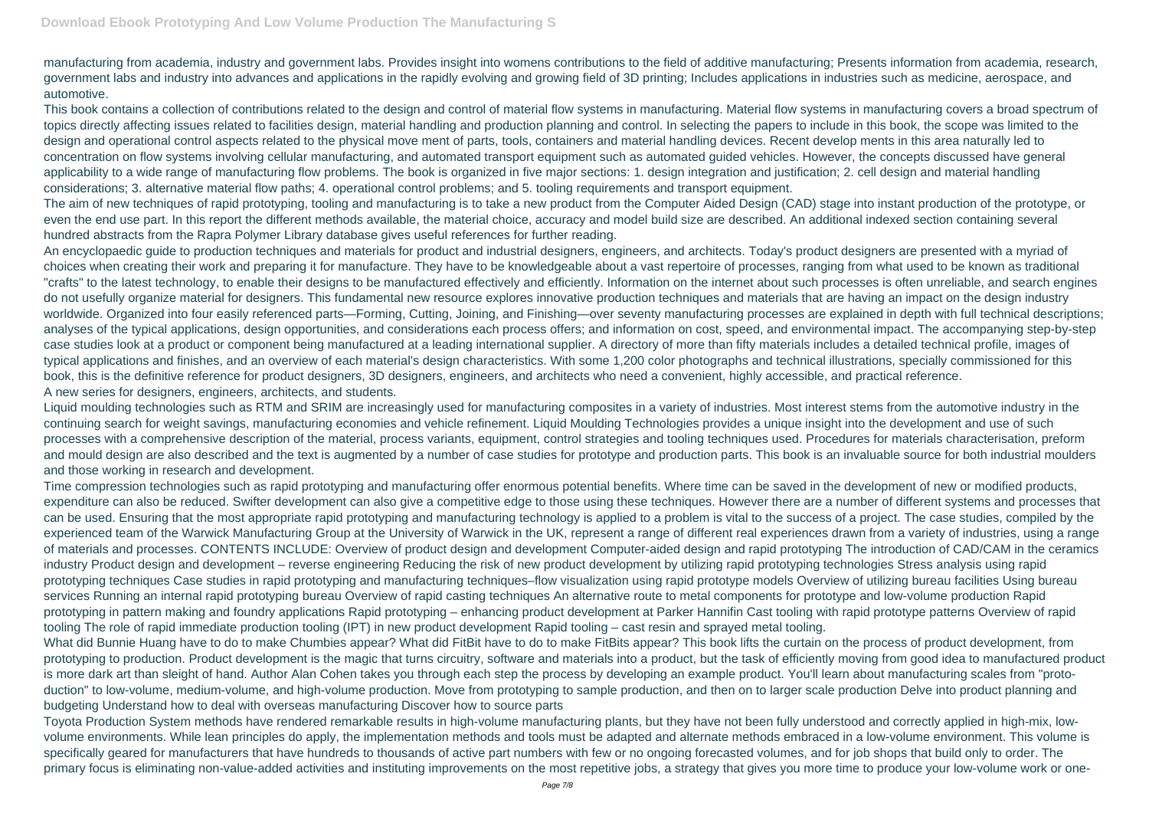manufacturing from academia, industry and government labs. Provides insight into womens contributions to the field of additive manufacturing; Presents information from academia, research, government labs and industry into advances and applications in the rapidly evolving and growing field of 3D printing; Includes applications in industries such as medicine, aerospace, and automotive.

This book contains a collection of contributions related to the design and control of material flow systems in manufacturing. Material flow systems in manufacturing covers a broad spectrum of topics directly affecting issues related to facilities design, material handling and production planning and control. In selecting the papers to include in this book, the scope was limited to the design and operational control aspects related to the physical move ment of parts, tools, containers and material handling devices. Recent develop ments in this area naturally led to concentration on flow systems involving cellular manufacturing, and automated transport equipment such as automated guided vehicles. However, the concepts discussed have general applicability to a wide range of manufacturing flow problems. The book is organized in five major sections: 1. design integration and justification; 2. cell design and material handling considerations; 3. alternative material flow paths; 4. operational control problems; and 5. tooling requirements and transport equipment.

The aim of new techniques of rapid prototyping, tooling and manufacturing is to take a new product from the Computer Aided Design (CAD) stage into instant production of the prototype, or even the end use part. In this report the different methods available, the material choice, accuracy and model build size are described. An additional indexed section containing several hundred abstracts from the Rapra Polymer Library database gives useful references for further reading.

An encyclopaedic guide to production techniques and materials for product and industrial designers, engineers, and architects. Today's product designers are presented with a myriad of choices when creating their work and preparing it for manufacture. They have to be knowledgeable about a vast repertoire of processes, ranging from what used to be known as traditional "crafts" to the latest technology, to enable their designs to be manufactured effectively and efficiently. Information on the internet about such processes is often unreliable, and search engines do not usefully organize material for designers. This fundamental new resource explores innovative production techniques and materials that are having an impact on the design industry worldwide. Organized into four easily referenced parts—Forming, Cutting, Joining, and Finishing—over seventy manufacturing processes are explained in depth with full technical descriptions; analyses of the typical applications, design opportunities, and considerations each process offers; and information on cost, speed, and environmental impact. The accompanying step-by-step case studies look at a product or component being manufactured at a leading international supplier. A directory of more than fifty materials includes a detailed technical profile, images of typical applications and finishes, and an overview of each material's design characteristics. With some 1,200 color photographs and technical illustrations, specially commissioned for this book, this is the definitive reference for product designers, 3D designers, engineers, and architects who need a convenient, highly accessible, and practical reference. A new series for designers, engineers, architects, and students.

Toyota Production System methods have rendered remarkable results in high-volume manufacturing plants, but they have not been fully understood and correctly applied in high-mix, lowvolume environments. While lean principles do apply, the implementation methods and tools must be adapted and alternate methods embraced in a low-volume environment. This volume is specifically geared for manufacturers that have hundreds to thousands of active part numbers with few or no ongoing forecasted volumes, and for job shops that build only to order. The primary focus is eliminating non-value-added activities and instituting improvements on the most repetitive jobs, a strategy that gives you more time to produce your low-volume work or one-

Liquid moulding technologies such as RTM and SRIM are increasingly used for manufacturing composites in a variety of industries. Most interest stems from the automotive industry in the continuing search for weight savings, manufacturing economies and vehicle refinement. Liquid Moulding Technologies provides a unique insight into the development and use of such processes with a comprehensive description of the material, process variants, equipment, control strategies and tooling techniques used. Procedures for materials characterisation, preform and mould design are also described and the text is augmented by a number of case studies for prototype and production parts. This book is an invaluable source for both industrial moulders and those working in research and development.

Time compression technologies such as rapid prototyping and manufacturing offer enormous potential benefits. Where time can be saved in the development of new or modified products, expenditure can also be reduced. Swifter development can also give a competitive edge to those using these techniques. However there are a number of different systems and processes that can be used. Ensuring that the most appropriate rapid prototyping and manufacturing technology is applied to a problem is vital to the success of a project. The case studies, compiled by the experienced team of the Warwick Manufacturing Group at the University of Warwick in the UK, represent a range of different real experiences drawn from a variety of industries, using a range of materials and processes. CONTENTS INCLUDE: Overview of product design and development Computer-aided design and rapid prototyping The introduction of CAD/CAM in the ceramics industry Product design and development – reverse engineering Reducing the risk of new product development by utilizing rapid prototyping technologies Stress analysis using rapid prototyping techniques Case studies in rapid prototyping and manufacturing techniques–flow visualization using rapid prototype models Overview of utilizing bureau facilities Using bureau services Running an internal rapid prototyping bureau Overview of rapid casting techniques An alternative route to metal components for prototype and low-volume production Rapid prototyping in pattern making and foundry applications Rapid prototyping – enhancing product development at Parker Hannifin Cast tooling with rapid prototype patterns Overview of rapid tooling The role of rapid immediate production tooling (IPT) in new product development Rapid tooling – cast resin and sprayed metal tooling.

What did Bunnie Huang have to do to make Chumbies appear? What did FitBit have to do to make FitBits appear? This book lifts the curtain on the process of product development, from prototyping to production. Product development is the magic that turns circuitry, software and materials into a product, but the task of efficiently moving from good idea to manufactured product is more dark art than sleight of hand. Author Alan Cohen takes you through each step the process by developing an example product. You'll learn about manufacturing scales from "protoduction" to low-volume, medium-volume, and high-volume production. Move from prototyping to sample production, and then on to larger scale production Delve into product planning and budgeting Understand how to deal with overseas manufacturing Discover how to source parts